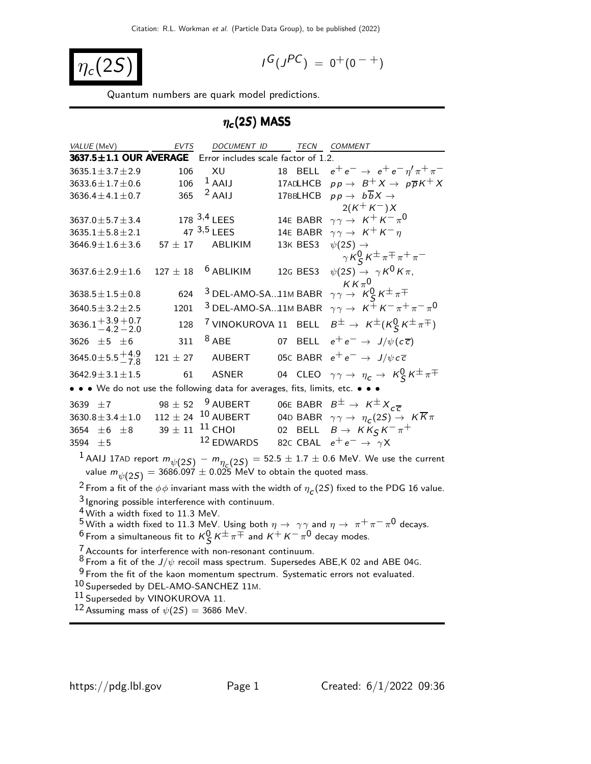$$
\eta_c(2S)
$$

$$
I^G(J^{PC}) = 0^+(0^{-+})
$$

Quantum numbers are quark model predictions.

# $\eta_{\bm{c}}(2S)$  MASS

| VALUE (MeV)                                                                                                                                                                        | <b>EVTS</b>  | <b>DOCUMENT ID</b>                                                                                                |          | <b>TECN</b><br>COMMENT                                   |                                                                                                                                                                                       |
|------------------------------------------------------------------------------------------------------------------------------------------------------------------------------------|--------------|-------------------------------------------------------------------------------------------------------------------|----------|----------------------------------------------------------|---------------------------------------------------------------------------------------------------------------------------------------------------------------------------------------|
| $3637.5 \pm 1.1$ OUR AVERAGE                                                                                                                                                       |              | Error includes scale factor of 1.2.                                                                               |          |                                                          |                                                                                                                                                                                       |
| $3635.1 \pm 3.7 \pm 2.9$                                                                                                                                                           | 106          | XU                                                                                                                | 18 BELL  |                                                          | $e^+e^- \rightarrow e^+e^-\eta^{\prime}\pi^+\pi^-$                                                                                                                                    |
| $3633.6 \pm 1.7 \pm 0.6$                                                                                                                                                           | 106          | $1$ AAIJ                                                                                                          | 17ADLHCB |                                                          | $pp \rightarrow B^+ X \rightarrow p\overline{p}K^+ X$                                                                                                                                 |
| $3636.4 \pm 4.1 \pm 0.7$                                                                                                                                                           | 365          | $2$ AAIJ                                                                                                          | 17BBLHCB |                                                          | $pp \rightarrow b\overline{b}X \rightarrow$                                                                                                                                           |
|                                                                                                                                                                                    |              |                                                                                                                   |          |                                                          | $2(K^+ K^-)X$                                                                                                                                                                         |
| 3637.0 $\pm$ 5.7 $\pm$ 3.4                                                                                                                                                         |              | 178 $3,4$ LEES                                                                                                    | 14E BABR |                                                          | $\gamma \gamma \rightarrow K^+ K^- \pi^0$                                                                                                                                             |
| $3635.1 \pm 5.8 \pm 2.1$                                                                                                                                                           |              | 47 3,5 LEES                                                                                                       | 14E BABR |                                                          | $\gamma \gamma \rightarrow K^+ K^- \eta$                                                                                                                                              |
| $3646.9 \pm 1.6 \pm 3.6$                                                                                                                                                           | $57 \pm 17$  | ABLIKIM                                                                                                           | 13K BES3 | $\psi(2S) \rightarrow$                                   |                                                                                                                                                                                       |
|                                                                                                                                                                                    |              |                                                                                                                   |          |                                                          | $\gamma K_S^0 K^{\pm} \pi^{\mp} \pi^+ \pi^-$                                                                                                                                          |
| $3637.6 \pm 2.9 \pm 1.6$                                                                                                                                                           | $127 \pm 18$ | $6$ ABLIKIM                                                                                                       | 12G BES3 |                                                          | $\psi(2S) \rightarrow \gamma K^0 K \pi$ ,                                                                                                                                             |
|                                                                                                                                                                                    | 624          | <sup>3</sup> DEL-AMO-SA11M BABR $\gamma \gamma \rightarrow K^0_S K^{\pm} \pi^{\mp}$                               |          |                                                          |                                                                                                                                                                                       |
| $3638.5 \pm 1.5 \pm 0.8$                                                                                                                                                           |              |                                                                                                                   |          |                                                          |                                                                                                                                                                                       |
| $3640.5 \pm 3.2 \pm 2.5$                                                                                                                                                           | 1201         |                                                                                                                   |          |                                                          | <sup>3</sup> DEL-AMO-SA11M BABR $\gamma \gamma \rightarrow K^{\pm} K^{-} \pi^{+} \pi^{-} \pi^{0}$                                                                                     |
| $3636.1 + 3.9 + 0.7$<br>$-4.2 - 2.0$                                                                                                                                               | 128          | <sup>7</sup> VINOKUROVA 11 BELL                                                                                   |          |                                                          | $B^{\pm} \rightarrow K^{\pm} (K_S^0 K^{\pm} \pi^{\mp})$                                                                                                                               |
| 3626 $\pm 5$ $\pm 6$                                                                                                                                                               | 311          | $8$ ABE                                                                                                           | 07       | BELL                                                     | $e^+e^- \rightarrow J/\psi(c\overline{c})$                                                                                                                                            |
| $3645.0 \pm 5.5 \pm 4.9$                                                                                                                                                           | $121 \pm 27$ | AUBERT                                                                                                            |          |                                                          | 05C BABR $e^+e^- \rightarrow J/\psi c\bar{c}$                                                                                                                                         |
| $3642.9 \pm 3.1 \pm 1.5$                                                                                                                                                           | 61           | <b>ASNER</b>                                                                                                      |          |                                                          | 04 CLEO $\gamma \gamma \rightarrow \eta_c \rightarrow K_S^0 K^{\pm} \pi^{\mp}$                                                                                                        |
|                                                                                                                                                                                    |              | • • • We do not use the following data for averages, fits, limits, etc. • • •                                     |          |                                                          |                                                                                                                                                                                       |
| 3639 ±7                                                                                                                                                                            |              | $98 \pm 52$ 9 AUBERT                                                                                              |          | 06E BABR $B^{\pm} \rightarrow K^{\pm} X_{c\overline{c}}$ |                                                                                                                                                                                       |
| $3630.8 \pm 3.4 \pm 1.0$                                                                                                                                                           |              | $112 \pm 24$ $^{10}$ AUBERT                                                                                       |          |                                                          | 04D BABR $\gamma \gamma \rightarrow \eta_c(2S) \rightarrow K \overline{K} \pi$                                                                                                        |
| 3654 $\pm 6$ $\pm 8$                                                                                                                                                               | $39 \pm 11$  | $11$ CHOI                                                                                                         |          |                                                          | 02 BELL $B \to K K_S K^- \pi^+$                                                                                                                                                       |
| 3594 ±5                                                                                                                                                                            |              | 12 EDWARDS                                                                                                        |          | 82c CBAL $e^+e^- \rightarrow \gamma X$                   |                                                                                                                                                                                       |
|                                                                                                                                                                                    |              |                                                                                                                   |          |                                                          |                                                                                                                                                                                       |
|                                                                                                                                                                                    |              |                                                                                                                   |          |                                                          | <sup>1</sup> AAIJ 17AD report $m_{\psi(2S)} - m_{\eta_C(2S)} = 52.5 \pm 1.7 \pm 0.6$ MeV. We use the current value $m_{\psi(2S)} = 3686.097 \pm 0.025$ MeV to obtain the quoted mass. |
|                                                                                                                                                                                    |              |                                                                                                                   |          |                                                          | $^2$ From a fit of the $\phi\phi$ invariant mass with the width of $\eta_{\texttt{C}}(2S)$ fixed to the PDG 16 value.                                                                 |
|                                                                                                                                                                                    |              | $3$ Ignoring possible interference with continuum.                                                                |          |                                                          |                                                                                                                                                                                       |
| $4$ With a width fixed to 11.3 MeV.                                                                                                                                                |              |                                                                                                                   |          |                                                          |                                                                                                                                                                                       |
|                                                                                                                                                                                    |              | $^5$ With a width fixed to 11.3 MeV. Using both $\eta \to \gamma \gamma$ and $\eta \to \pi^+ \pi^- \pi^0$ decays. |          |                                                          |                                                                                                                                                                                       |
|                                                                                                                                                                                    |              | <sup>6</sup> From a simultaneous fit to $K_S^0 K^{\pm} \pi^{\mp}$ and $K^+ K^- \pi^0$ decay modes.                |          |                                                          |                                                                                                                                                                                       |
|                                                                                                                                                                                    |              | $\frac{7}{4}$ Accounts for interference with non-resonant continuum.                                              |          |                                                          |                                                                                                                                                                                       |
| $8$ From a fit of the $J/\psi$ recoil mass spectrum. Supersedes ABE,K 02 and ABE 04G.<br><sup>9</sup> From the fit of the kaon momentum spectrum. Systematic errors not evaluated. |              |                                                                                                                   |          |                                                          |                                                                                                                                                                                       |
|                                                                                                                                                                                    |              |                                                                                                                   |          |                                                          |                                                                                                                                                                                       |
| 10 Superseded by DEL-AMO-SANCHEZ 11M.                                                                                                                                              |              |                                                                                                                   |          |                                                          |                                                                                                                                                                                       |
| <sup>11</sup> Superseded by VINOKUROVA 11.                                                                                                                                         |              |                                                                                                                   |          |                                                          |                                                                                                                                                                                       |

12 Assuming mass of  $\psi(2S) = 3686$  MeV.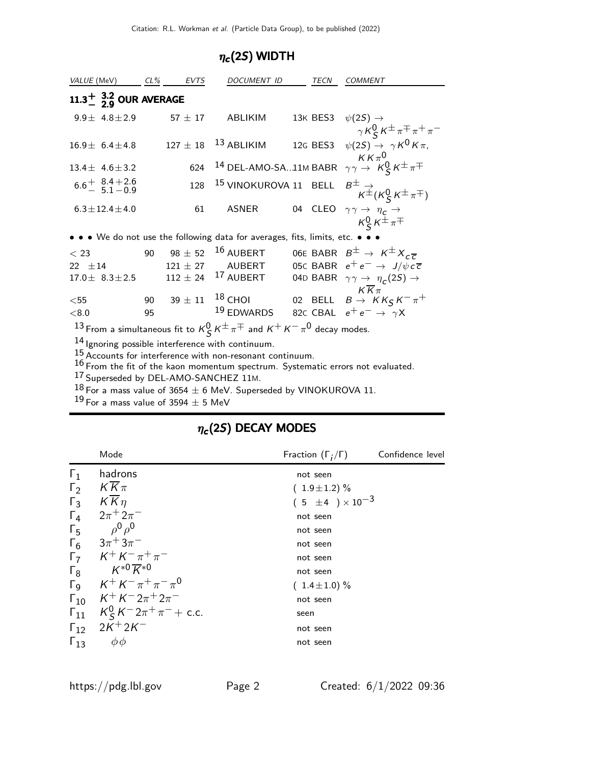#### $\eta_c(2S)$  WIDTH

| VALUE (MeV) CL% EVTS                                                                                                                                                                                                                                                                                                                                                                                                                                                 |    |                | <b>DOCUMENT ID</b>                                                            |  | <b>TECN</b> | <b>COMMENT</b>                                                                                  |
|----------------------------------------------------------------------------------------------------------------------------------------------------------------------------------------------------------------------------------------------------------------------------------------------------------------------------------------------------------------------------------------------------------------------------------------------------------------------|----|----------------|-------------------------------------------------------------------------------|--|-------------|-------------------------------------------------------------------------------------------------|
| $11.3^{+}_{-}$ $3.2$ OUR AVERAGE                                                                                                                                                                                                                                                                                                                                                                                                                                     |    |                |                                                                               |  |             |                                                                                                 |
| $9.9 \pm 4.8 \pm 2.9$                                                                                                                                                                                                                                                                                                                                                                                                                                                |    | $57 \pm 17$    | ABLIKIM                                                                       |  |             | 13K BES3 $\psi(2S) \rightarrow$<br>$\gamma K_S^0 K^{\pm} \pi^{\mp} \pi^+ \pi^-$                 |
| $16.9 \pm 6.4 \pm 4.8$ 127 $\pm 18$ $^{13}$ ABLIKIM                                                                                                                                                                                                                                                                                                                                                                                                                  |    |                |                                                                               |  |             | 12G BES3 $\psi(2S) \rightarrow \gamma K^0 K \pi$ ,                                              |
| $13.4 \pm 4.6 \pm 3.2$                                                                                                                                                                                                                                                                                                                                                                                                                                               |    | 624            |                                                                               |  |             | 14 DEL-AMO-SA11M BABR $\gamma \gamma \rightarrow \ K \zeta \kappa \pm \pi \mp$                  |
| $6.6^{+}_{-}$ $8.4^{+2.6}_{-2.1-0.9}$                                                                                                                                                                                                                                                                                                                                                                                                                                |    | 128            |                                                                               |  |             | 15 VINOKUROVA 11 BELL $B^{\pm}_{K^{\pm}}(K^0_S K^{\pm} \pi^{\mp})$                              |
| $6.3 \pm 12.4 \pm 4.0$                                                                                                                                                                                                                                                                                                                                                                                                                                               |    | 61             | <b>ASNER</b>                                                                  |  |             | 04 CLEO $\gamma \gamma \rightarrow \eta_c \rightarrow$<br>$K_S^0 K^{\pm} \pi^{\mp}$             |
|                                                                                                                                                                                                                                                                                                                                                                                                                                                                      |    |                | • • • We do not use the following data for averages, fits, limits, etc. • • • |  |             |                                                                                                 |
| $<$ 23                                                                                                                                                                                                                                                                                                                                                                                                                                                               |    | 90 98 $\pm$ 52 | $16$ AUBERT                                                                   |  |             | 06E BABR $B^{\pm} \rightarrow K^{\pm} X_{c\overline{c}}$                                        |
| $22 \pm 14$                                                                                                                                                                                                                                                                                                                                                                                                                                                          |    |                | $121 \pm 27$ AUBERT                                                           |  |             | 05C BABR $e^+e^- \rightarrow J/\psi c\bar{c}$                                                   |
|                                                                                                                                                                                                                                                                                                                                                                                                                                                                      |    |                |                                                                               |  |             | 17.0 ± 8.3 ± 2.5 112 ± 24 <sup>17</sup> AUBERT 04D BABR $\gamma \gamma \to \eta_c(2S) \to$      |
| $<$ 55                                                                                                                                                                                                                                                                                                                                                                                                                                                               |    |                |                                                                               |  |             | $K\overline{K}\pi$<br>90 $39 \pm 11$ <sup>18</sup> CHOI 02 BELL $B \rightarrow K K_S K^- \pi^+$ |
| < 8.0                                                                                                                                                                                                                                                                                                                                                                                                                                                                | 95 |                | <sup>19</sup> EDWARDS 82c CBAL $e^+e^- \rightarrow \gamma X$                  |  |             |                                                                                                 |
|                                                                                                                                                                                                                                                                                                                                                                                                                                                                      |    |                |                                                                               |  |             |                                                                                                 |
| 13 From a simultaneous fit to $K^0_S K^{\pm} \pi^{\mp}$ and $K^+ K^- \pi^0$ decay modes.<br>14 Ignoring possible interference with continuum.<br><sup>15</sup> Accounts for interference with non-resonant continuum.<br>$16 -$<br>$\mathbf{r}$ . The contract of the contract of the contract of the contract of the contract of the contract of the contract of the contract of the contract of the contract of the contract of the contract of the contract of th |    |                |                                                                               |  |             |                                                                                                 |

 $16$  From the fit of the kaon momentum spectrum. Systematic errors not evaluated.

17 Superseded by DEL-AMO-SANCHEZ 11M.

 $^{18}$  For a mass value of 3654  $\pm$  6 MeV. Superseded by VINOKUROVA 11.

 $^{19}$  For a mass value of 3594  $\pm$  5 MeV

#### $\eta_{\bm{c}}(2S)$  DECAY MODES

|                       | Mode                                           | Fraction $(\Gamma_i/\Gamma)$ | Confidence level |
|-----------------------|------------------------------------------------|------------------------------|------------------|
| $\Gamma_1$            | hadrons                                        | not seen                     |                  |
| $\Gamma_2$            | $K\overline{K}\pi$                             | $(1.9 \pm 1.2)\%$            |                  |
| $\Gamma_3$            | $K\overline{K}\eta$                            | $(5 \pm 4) \times 10^{-3}$   |                  |
| $\Gamma_4$            | $2\pi + 2\pi^-$                                | not seen                     |                  |
| $\Gamma_5$            | $\rho^0 \rho^0$                                | not seen                     |                  |
| $\Gamma_6$            | $3\pi$ <sup>+</sup> $3\pi$ <sup>-</sup>        | not seen                     |                  |
| $\Gamma_7$            | $K^+ K^- \pi^+ \pi^-$                          | not seen                     |                  |
| $\Gamma_8$            | $K^{*0}\overline{K}{}^{*0}$                    | not seen                     |                  |
| $\Gamma$ <sub>9</sub> | $K^+ \, K^- \, \pi^+ \, \pi^- \, \pi^0$        | $(1.4 \pm 1.0)\%$            |                  |
|                       | $\Gamma_{10}$ $K^+ K^- 2\pi^+ 2\pi^-$          | not seen                     |                  |
| $\Gamma_{11}$         | $K_S^0 K^- 2\pi^+\pi^-$ + c.c.                 | seen                         |                  |
|                       | $\Gamma_{12}$ 2K <sup>+</sup> 2K <sup>-1</sup> | not seen                     |                  |
| $\Gamma_{13}$         | $\phi\phi$                                     | not seen                     |                  |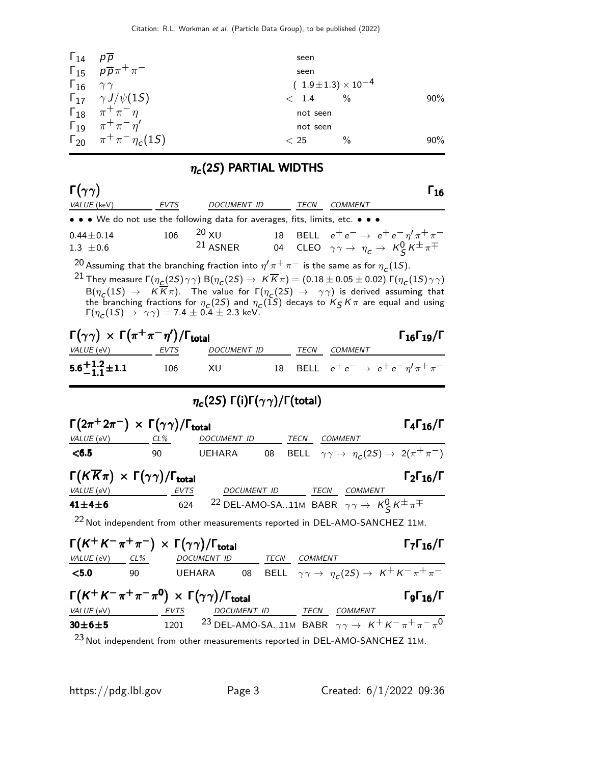| $\Gamma_{14}$                | $p\overline{p}$                                  | seen                           |        |
|------------------------------|--------------------------------------------------|--------------------------------|--------|
|                              | $\Gamma_{15}$ $\rho \overline{\rho} \pi^+ \pi^-$ | seen                           |        |
| $\Gamma_{16}$ $\gamma\gamma$ |                                                  | $(1.9 \pm 1.3) \times 10^{-4}$ |        |
|                              | $\Gamma_{17}$ $\gamma J/\psi(15)$                | $\frac{0}{0}$<br>< 1.4         | $90\%$ |
|                              | $\Gamma_{18}$ $\pi^{+}\pi^{-}\eta$               | not seen                       |        |
|                              | $\Gamma_{19}$ $\pi^{+}\pi^{-}\eta'$              | not seen                       |        |
|                              | $\Gamma_{20}$ $\pi^{+}\pi^{-}\eta_{c}(1S)$       | $\frac{0}{0}$<br>< 25          | $90\%$ |

#### $\eta_c$ (2S) PARTIAL WIDTHS

| $\Gamma(\gamma\gamma)$                                              |                                                                                        |                                                                                                                                                                                                                                                                                                                                                                                                                                                                                                                                      |    |              |                                                                                                       | Г <sub>1б</sub>                                                                                                                                 |
|---------------------------------------------------------------------|----------------------------------------------------------------------------------------|--------------------------------------------------------------------------------------------------------------------------------------------------------------------------------------------------------------------------------------------------------------------------------------------------------------------------------------------------------------------------------------------------------------------------------------------------------------------------------------------------------------------------------------|----|--------------|-------------------------------------------------------------------------------------------------------|-------------------------------------------------------------------------------------------------------------------------------------------------|
| VALUE (keV)                                                         | <b>EVTS</b>                                                                            | DOCUMENT ID                                                                                                                                                                                                                                                                                                                                                                                                                                                                                                                          |    |              | TECN COMMENT                                                                                          |                                                                                                                                                 |
|                                                                     |                                                                                        | • • • We do not use the following data for averages, fits, limits, etc. • • •                                                                                                                                                                                                                                                                                                                                                                                                                                                        |    |              |                                                                                                       |                                                                                                                                                 |
| $0.44 \pm 0.14$<br>$1.3 \pm 0.6$                                    | 106                                                                                    | $20 \times U$<br>$21$ ASNER                                                                                                                                                                                                                                                                                                                                                                                                                                                                                                          |    |              |                                                                                                       | 18 BELL $e^+e^- \rightarrow e^+e^- \eta^{\prime} \pi^+ \pi^-$<br>04 CLEO $\gamma \gamma \rightarrow \eta_c \rightarrow K_S^0 K^{\pm} \pi^{\mp}$ |
|                                                                     |                                                                                        | <sup>20</sup> Assuming that the branching fraction into $\eta' \pi^+ \pi^-$ is the same as for $\eta_c(1S)$ .<br><sup>21</sup> They measure Γ( $η_C(2S)γγ$ ) Β( $η_C(2S) → K\overline{K}π$ ) = (0.18 ± 0.05 ± 0.02) Γ( $η_C(1S)γγ$ )<br>$B(\eta_C(1S) \to K\overline{K}\pi)$ . The value for $\Gamma(\eta_C(2S) \to \gamma\gamma)$ is derived assuming that<br>the branching fractions for $\eta_c(2S)$ and $\eta_c(1S)$ decays to $K_S K \pi$ are equal and using $\Gamma(\eta_c(1S) \to \gamma \gamma) = 7.4 \pm 0.4 \pm 2.3$ keV. |    |              |                                                                                                       |                                                                                                                                                 |
| VALUE (eV) EVTS                                                     | $\Gamma(\gamma\gamma) \times \Gamma(\pi^+\pi^-\eta')/\Gamma_{\rm total}$               | DOCUMENT ID                                                                                                                                                                                                                                                                                                                                                                                                                                                                                                                          |    | TECN         | <i>COMMENT</i>                                                                                        | $\Gamma_{16}\Gamma_{19}/\Gamma$                                                                                                                 |
| $5.6^{+1.2}_{-1.1}$ ± 1.1                                           | 106                                                                                    | XU                                                                                                                                                                                                                                                                                                                                                                                                                                                                                                                                   | 18 |              |                                                                                                       | BELL $e^+e^- \rightarrow e^+e^-\eta^{\prime}\pi^+\pi^-$                                                                                         |
| $\eta_c(2S) \Gamma(i) \Gamma(\gamma \gamma) / \Gamma(\text{total})$ |                                                                                        |                                                                                                                                                                                                                                                                                                                                                                                                                                                                                                                                      |    |              |                                                                                                       |                                                                                                                                                 |
| VALUE (eV) CL%                                                      | $\Gamma(2\pi^+2\pi^-) \times \Gamma(\gamma\gamma)/\Gamma_{\rm total}$                  | DOCUMENT ID                                                                                                                                                                                                                                                                                                                                                                                                                                                                                                                          |    | TECN         | <b>COMMENT</b>                                                                                        | $\Gamma_4\Gamma_{16}/\Gamma$                                                                                                                    |
| < 6.5                                                               | 90                                                                                     | <b>UEHARA</b>                                                                                                                                                                                                                                                                                                                                                                                                                                                                                                                        | 08 |              |                                                                                                       | BELL $\gamma \gamma \rightarrow \eta_c(2S) \rightarrow 2(\pi^+\pi^-)$                                                                           |
| VALUE (eV)                                                          | $\Gamma(K\overline{K}\pi) \times \Gamma(\gamma\gamma)/\Gamma_{\text{total}}$<br>EVTS   |                                                                                                                                                                                                                                                                                                                                                                                                                                                                                                                                      |    |              |                                                                                                       | $\Gamma_2\Gamma_{16}/\Gamma$                                                                                                                    |
| $41 + 4 + 6$                                                        | 624                                                                                    |                                                                                                                                                                                                                                                                                                                                                                                                                                                                                                                                      |    |              | DOCUMENT ID TECN COMMENT<br>22 DEL-AMO-SA11M BABR $\gamma \gamma \rightarrow K_S^0 K^{\pm} \pi^{\mp}$ |                                                                                                                                                 |
|                                                                     |                                                                                        | $22$ Not independent from other measurements reported in DEL-AMO-SANCHEZ 11M.                                                                                                                                                                                                                                                                                                                                                                                                                                                        |    |              |                                                                                                       |                                                                                                                                                 |
| VALUE (eV) CL%                                                      | $\Gamma(K^+K^-\pi^+\pi^-) \times \Gamma(\gamma\gamma)/\Gamma_{\rm total}$              | DOCUMENT ID                                                                                                                                                                                                                                                                                                                                                                                                                                                                                                                          |    | TECN COMMENT |                                                                                                       | $\Gamma_7\Gamma_{16}/\Gamma$                                                                                                                    |
| $5.0$                                                               | 90<br><b>UEHARA</b>                                                                    |                                                                                                                                                                                                                                                                                                                                                                                                                                                                                                                                      |    |              |                                                                                                       | 08 BELL $\gamma\gamma \to \eta_c(2S) \to K^+K^-\pi^+\pi^-$                                                                                      |
| VALUE (eV)                                                          | $\Gamma(K^+K^-\pi^+\pi^-\pi^0) \times \Gamma(\gamma\gamma)/\Gamma_{\rm total}$<br>EVTS | DOCUMENT ID                                                                                                                                                                                                                                                                                                                                                                                                                                                                                                                          |    |              | TECN COMMENT                                                                                          | $\Gamma$ <sub>16</sub> /Γ                                                                                                                       |

|                | - - - -                | $\cdots$ |                                                                                             |
|----------------|------------------------|----------|---------------------------------------------------------------------------------------------|
| $30\pm 6\pm 5$ |                        |          | 1201 <sup>23</sup> DEL-AMO-SA11M BABR $\gamma \gamma \rightarrow K^+ K^- \pi^+ \pi^- \pi^0$ |
|                | $23.11 \times 10^{-1}$ |          |                                                                                             |

<sup>23</sup> Not independent from other measurements reported in DEL-AMO-SANCHEZ 11M.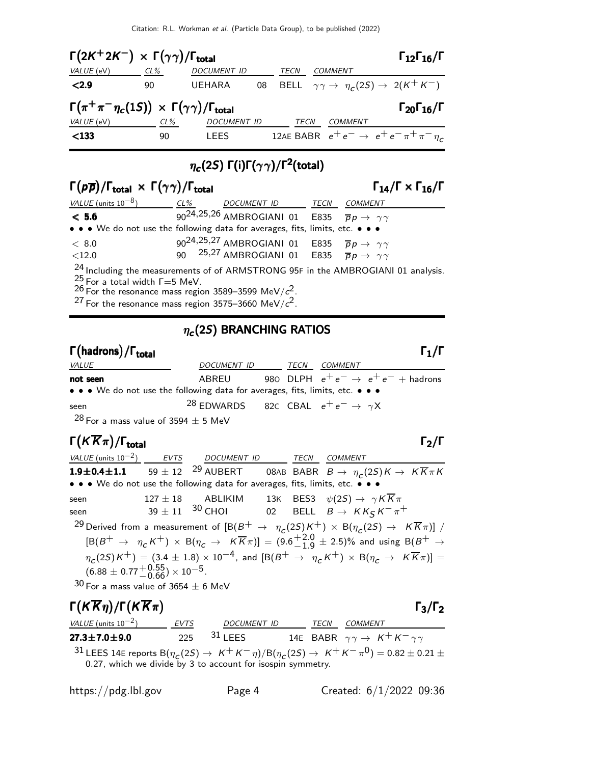| $\Gamma(2K^+2K^-) \times \Gamma(\gamma\gamma)/\Gamma_{\text{total}}$             |        |                    |      |                | $\Gamma_{12}\Gamma_{16}/\Gamma$                                      |
|----------------------------------------------------------------------------------|--------|--------------------|------|----------------|----------------------------------------------------------------------|
| VALUE (eV)                                                                       | CL%    | <b>DOCUMENT ID</b> | TECN | <b>COMMENT</b> |                                                                      |
| < 2.9                                                                            | 90     | <b>UEHARA</b>      |      |                | 08 BELL $\gamma \gamma \rightarrow \eta_c(2S) \rightarrow 2(K^+K^-)$ |
| $\Gamma(\pi^+\pi^-\eta_c(1S)) \times \Gamma(\gamma\gamma)/\Gamma_{\text{total}}$ |        |                    |      |                | $\Gamma_{20}\Gamma_{16}/\Gamma$                                      |
| VALUE (eV)                                                                       | $CL\%$ | <b>DOCUMENT ID</b> | TECN | COMMENT        |                                                                      |
| $133$                                                                            | 90     | <b>LEES</b>        |      |                | 12AE BABR $e^+e^- \rightarrow e^+e^- \pi^+ \pi^- \eta_c$             |

# $\eta_{\bm{c}}(2S)$  Γ(i)Γ( $\gamma\gamma)$ /Γ<sup>2</sup>(total)

| $\Gamma(p\overline{p})/\Gamma_{\text{total}} \times \Gamma(\gamma\gamma)/\Gamma_{\text{total}}$ |        | $\Gamma_{14}/\Gamma \times \Gamma_{16}/\Gamma$                                        |      |                                                                                             |
|-------------------------------------------------------------------------------------------------|--------|---------------------------------------------------------------------------------------|------|---------------------------------------------------------------------------------------------|
| VALUE (units $10^{-8}$ )                                                                        | $CL\%$ | <b>DOCUMENT ID</b>                                                                    | TECN | <b>COMMENT</b>                                                                              |
| < 5.6                                                                                           |        | $\overline{q_0}$ 24,25,26 AMBROGIANI 01 E835 $\overline{p}p \rightarrow \gamma\gamma$ |      |                                                                                             |
| • • • We do not use the following data for averages, fits, limits, etc. • • •                   |        |                                                                                       |      |                                                                                             |
| < 8.0                                                                                           |        | 90 <sup>24,25,27</sup> AMBROGIANI 01 E835 $\overline{p}p \rightarrow \gamma\gamma$    |      |                                                                                             |
| ${<}12.0$                                                                                       |        | 90 $25.27$ AMBROGIANI 01 E835 $\bar{p}p \rightarrow \gamma \gamma$                    |      |                                                                                             |
| $^{25}_{26}$ For a total width $\Gamma = 5$ MeV.                                                |        |                                                                                       |      | <sup>24</sup> Including the measurements of of ARMSTRONG 95F in the AMBROGIANI 01 analysis. |

 $^{26}$  For the resonance mass region 3589–3599 MeV/ $c^2$ .

 $^{27}$  For the resonance mass region 3575–3660 MeV/ $c^{2}$ .

## $\eta_{\bm{c}}(2S)$  BRANCHING RATIOS

### Γ (hadrons) / Γ<sub>total</sub> Γ *απ*οτείται του προσπάθεια του προσπάθεια του προσπάθεια του προσπάθεια του προσπάθεια VALUE DOCUMENT ID TECN COMMENT **not seen** ABREU 980 DLPH  $e^+e^- \rightarrow e^+e^-$  + hadrons • • • We do not use the following data for averages, fits, limits, etc. • • • seen 28 EDWARDS 82C CBAL  $e^+e^- \rightarrow \gamma X$

 $28$  For a mass value of 3594  $\pm$  5 MeV

# $\Gamma(K\overline{K}\pi)/\Gamma_{\text{total}}$  Γ<sub>2</sub>/Γ

VALUE (units  $10^{-2}$ ) EVTS DOCUMENT ID TECN COMMENT  ${\bf 1.9\pm 0.4\pm 1.1} \qquad 59\pm 12 \quad {^{29}}$  aubert  $\qquad \qquad 08$ ab babr  $B\to \; \eta_{\,c}(2S)K \to \; K \overline{K}\pi K$ • • • We do not use the following data for averages, fits, limits, etc. • • • seen  $127 \pm 18$  ABLIKIM 13K BES3  $\psi(2S) \rightarrow \gamma K \overline{K} \pi$ <br>seen  $39 \pm 11$   $30$  CHOI 02 BELL  $B \rightarrow K K \epsilon K^- \pi^$ seen 39  $\pm$  11 <sup>30</sup> CHOI 02 BELL  $B \to K K_S K^-\pi^+$  $^{29}$ Derived from a measurement of  $[\text{B}(B^+\ \rightarrow\ \ \eta_{\text{C}}(2S)K^+) \times \text{B}(\eta_{\text{C}}(2S) \rightarrow\ \text{K}\overline{K}\pi)]$  /  $[{\rm B}(B^+ \to \eta_c K^+) \times {\rm B}(\eta_c \to K \overline{K}\pi)] = (9.6^{+2.0}_{-1.9})$  $^{+2.0}_{-1.9}$   $\pm$  2.5)% and using B( $B^+$   $\rightarrow$  $\eta_c(2S)K^+) = (3.4 \pm 1.8) \times 10^{-4}$ , and  $\left[\text{B}(B^+ \to \eta_c K^+) \times \text{B}(\eta_c \to K \overline{K} \pi)\right] =$  $(6.88 \pm 0.77 + ^{0.55}_{0.66}) \times 10^{-5}$ .

 $30$  For a mass value of  $3654 \pm 6$  MeV

Γ $(K\overline{K}_{\eta})/\Gamma(K\overline{K}_{\pi})$  Γ<sub>3</sub>/Γ<sub>2</sub> VALUE (units  $10^{-2}$ ) EVTS DOCUMENT ID TECN COMMENT **27.3±7.0±9.0** 225 <sup>31</sup> LEES 14E BABR  $\gamma \gamma \rightarrow K^+ K^- \gamma \gamma$ <sup>31</sup> LEES 14E reports  $B(\eta_C(2S) \to K^+ K^-\eta)/B(\eta_C(2S) \to K^+ K^-\pi^0) = 0.82 \pm 0.21 \pm 0.25$ 0.27, which we divide by 3 to account for isospin symmetry.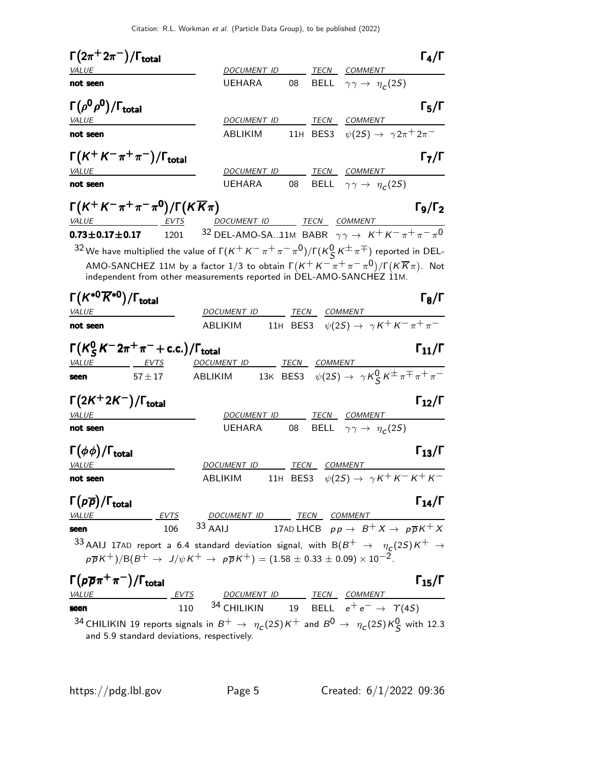|                                                                        |                                                                | Citation: R.L. Workman <i>et al.</i> (Particle Data Group), to be published (2022)                                                                                                                                          |    |              |                                                                            |                      |
|------------------------------------------------------------------------|----------------------------------------------------------------|-----------------------------------------------------------------------------------------------------------------------------------------------------------------------------------------------------------------------------|----|--------------|----------------------------------------------------------------------------|----------------------|
| $\Gamma(2\pi^+2\pi^-)/\Gamma_{\rm total}$                              |                                                                |                                                                                                                                                                                                                             |    |              |                                                                            | $\Gamma_4/\Gamma$    |
| <b>VALUE</b>                                                           |                                                                | DOCUMENT ID                                                                                                                                                                                                                 |    |              | TECN COMMENT                                                               |                      |
| not seen                                                               |                                                                | <b>UEHARA</b>                                                                                                                                                                                                               | 08 | BELL         | $\gamma \gamma \rightarrow \eta_c(2S)$                                     |                      |
| $\Gamma(\rho^0\rho^0)/\Gamma_{\rm total}$                              |                                                                |                                                                                                                                                                                                                             |    |              |                                                                            | $\Gamma_5/\Gamma$    |
| VALUE                                                                  |                                                                | DOCUMENT ID                                                                                                                                                                                                                 |    |              | TECN COMMENT                                                               |                      |
| not seen                                                               |                                                                | ABLIKIM                                                                                                                                                                                                                     |    |              | 11H BES3 $\psi(2S) \to \gamma 2\pi^+ 2\pi^-$                               |                      |
|                                                                        | $\Gamma(K^+K^-\pi^+\pi^-)/\Gamma_{\rm total}$                  |                                                                                                                                                                                                                             |    |              |                                                                            | $\Gamma_7/\Gamma$    |
| <b>VALUE</b>                                                           |                                                                | DOCUMENT ID                                                                                                                                                                                                                 |    |              | TECN COMMENT                                                               |                      |
| not seen                                                               |                                                                | <b>UEHARA</b>                                                                                                                                                                                                               | 08 |              | BELL $\gamma \gamma \rightarrow \eta_c(2S)$                                |                      |
|                                                                        | $\Gamma(K^+K^-\pi^+\pi^-\pi^0)/\Gamma(K\overline{K}\pi)$       |                                                                                                                                                                                                                             |    |              |                                                                            | $\Gamma_9/\Gamma_2$  |
| VALUE                                                                  |                                                                | DOCUMENT ID TECN COMMENT                                                                                                                                                                                                    |    |              |                                                                            |                      |
| $0.73 \pm 0.17 \pm 0.17$                                               | 1201                                                           | <sup>32</sup> DEL-AMO-SA11M BABR $\gamma \gamma \rightarrow K^+ K^- \pi^+ \pi^- \pi^0$                                                                                                                                      |    |              |                                                                            |                      |
|                                                                        |                                                                | <sup>32</sup> We have multiplied the value of $\Gamma(K^+K^-\pi^+\pi^-\pi^0)/\Gamma(K_S^0K^\pm\pi^\mp)$ reported in DEL-                                                                                                    |    |              |                                                                            |                      |
|                                                                        |                                                                | AMO-SANCHEZ 11M by a factor 1/3 to obtain $\Gamma(K^+K^-\pi^+\pi^-\pi^0)/\Gamma(K\overline{K}\pi)$ . Not<br>independent from other measurements reported in DEL-AMO-SANCHEZ 11M.                                            |    |              |                                                                            |                      |
| $\Gamma(K^{*0}\overline{K}{}^{*0})/\Gamma_{\rm total}$<br><i>VALUE</i> |                                                                | DOCUMENT ID                                                                                                                                                                                                                 |    | TECN COMMENT |                                                                            | $\Gamma_8/\Gamma$    |
| not seen                                                               |                                                                | ABLIKIM                                                                                                                                                                                                                     |    |              | 11H BES3 $\psi(2S) \rightarrow \gamma K^+ K^- \pi^+ \pi^-$                 |                      |
|                                                                        |                                                                |                                                                                                                                                                                                                             |    |              |                                                                            |                      |
|                                                                        | $\Gamma(K_S^0 K^- 2\pi^+\pi^-+$ c.c.)/ $\Gamma_{\text{total}}$ |                                                                                                                                                                                                                             |    |              |                                                                            | $\Gamma_{11}/\Gamma$ |
| <i>VALUE</i>                                                           | <u>EVTS</u>                                                    | DOCUMENT ID TECN COMMENT                                                                                                                                                                                                    |    |              |                                                                            |                      |
| seen                                                                   | $57 + 17$                                                      | ABLIKIM                                                                                                                                                                                                                     |    |              | 13K BES3 $\psi(2S) \rightarrow \gamma K_S^0 K^{\pm} \pi^{\mp} \pi^+ \pi^-$ |                      |
| $\Gamma(2K^+2K^-)/\Gamma_{\rm total}$                                  |                                                                |                                                                                                                                                                                                                             |    |              |                                                                            | $\Gamma_{12}/\Gamma$ |
| VALUE                                                                  |                                                                | DOCUMENT ID                                                                                                                                                                                                                 |    |              | TECN COMMENT                                                               |                      |
| not seen                                                               |                                                                | <b>UEHARA</b>                                                                                                                                                                                                               | 08 |              | BELL $\gamma \gamma \rightarrow \eta_c(2S)$                                |                      |
| $\Gamma(\phi\phi)/\Gamma_{\rm total}$                                  |                                                                |                                                                                                                                                                                                                             |    |              |                                                                            | $\Gamma_{13}/\Gamma$ |
| VALUE                                                                  |                                                                | DOCUMENT ID TECN COMMENT                                                                                                                                                                                                    |    |              |                                                                            |                      |
| not seen                                                               |                                                                | ABLIKIM                                                                                                                                                                                                                     |    |              | 11H BES3 $\psi(2S) \rightarrow \gamma K^+ K^- K^+ K^-$                     |                      |
| $\Gamma(p\overline{p})/\Gamma_{\rm total}$                             |                                                                |                                                                                                                                                                                                                             |    |              |                                                                            | $\Gamma_{14}/\Gamma$ |
| VALUE                                                                  | EVTS                                                           | DOCUMENT ID TECN COMMENT                                                                                                                                                                                                    |    |              |                                                                            |                      |
| seen                                                                   | 106                                                            | $33$ AAIJ                                                                                                                                                                                                                   |    |              | 17AD LHCB $pp \rightarrow B^+ X \rightarrow p\overline{p}K^+ X$            |                      |
|                                                                        |                                                                | 33 AAIJ 17AD report a 6.4 standard deviation signal, with B( $B^+$ $\rightarrow$ $\eta_c(2S)K^+$ $\rightarrow$<br>$p\overline{p}K^+/B(B^+ \to J/\psi K^+ \to p\overline{p}K^+) = (1.58 \pm 0.33 \pm 0.09) \times 10^{-2}$ . |    |              |                                                                            |                      |
| $\Gamma(p\overline{p}\pi^+\pi^-)/\Gamma_{\rm total}$                   |                                                                |                                                                                                                                                                                                                             |    |              |                                                                            | $\Gamma_{15}/\Gamma$ |
| <b>VALUE</b>                                                           | <b>EVTS</b>                                                    | DOCUMENT ID TECN COMMENT<br>34 CHILIKIN                                                                                                                                                                                     |    |              | 19 BELL $e^+e^- \rightarrow \gamma(4S)$                                    |                      |
| seen                                                                   | 110                                                            |                                                                                                                                                                                                                             |    |              |                                                                            |                      |

 $^{34}$  CHILIKIN 19 reports signals in  $B^+ \rightarrow \eta_c(2S)K^+$  and  $B^0 \rightarrow \eta_c(2S)K^0_S$  with 12.3 and 5.9 standard deviations, respectively.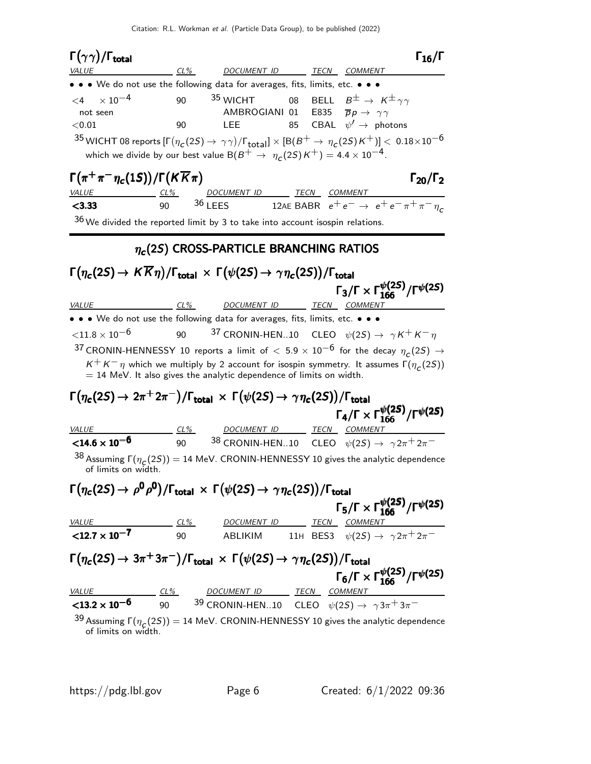| $\Gamma(\gamma\gamma)/\Gamma_{\rm total}$<br><b>VALUE</b>                                                                                                                                | $CL\%$   | DOCUMENT ID TECN COMMENT                                                                   |    | $\Gamma_{16}/\Gamma$                                                                                                                                                                                                                                                                                      |
|------------------------------------------------------------------------------------------------------------------------------------------------------------------------------------------|----------|--------------------------------------------------------------------------------------------|----|-----------------------------------------------------------------------------------------------------------------------------------------------------------------------------------------------------------------------------------------------------------------------------------------------------------|
| • • We do not use the following data for averages, fits, limits, etc. • • •                                                                                                              |          |                                                                                            |    |                                                                                                                                                                                                                                                                                                           |
| $\times$ 10 <sup>-4</sup><br>$<$ 4<br>not seen<br>< 0.01<br>which we divide by our best value B( $B^+ \rightarrow \eta_c(2S)K^+$ ) = 4.4 $\times$ 10 <sup>-4</sup> .                     | 90<br>90 | <sup>35</sup> WICHT<br>AMBROGIANI 01 E835 $\overline{p}p \rightarrow \gamma\gamma$<br>LEE. | 08 | BELL $B^{\pm} \rightarrow K^{\pm} \gamma \gamma$<br>85 CBAL $\psi' \rightarrow$ photons<br>$^{35}$ WICHT 08 reports $[\Gamma(\eta_c(2S) \to \gamma\gamma)/\Gamma_{\rm total}]\times [B(B^+ \to \eta_c(2S)K^+)] < 0.18\times10^{-6}$                                                                       |
| $\Gamma(\pi^+\pi^-\eta_c(1S))/\Gamma(K\overline{K}\pi)$                                                                                                                                  |          |                                                                                            |    | $\Gamma_{20}/\Gamma_2$                                                                                                                                                                                                                                                                                    |
| VALUE<br>< 3.33<br>$36$ We divided the reported limit by 3 to take into account isospin relations.                                                                                       |          |                                                                                            |    | $\underbrace{CL\%}_{90}$ $\underbrace{DOCUMENT ID}_{36 \text{ LEES}}$ $\underbrace{LECN}_{12AE \text{ BABR}}$ $e^+e^- \rightarrow e^+e^-\pi^+\pi^-\eta_c$                                                                                                                                                 |
|                                                                                                                                                                                          |          | $\eta_c(25)$ CROSS-PARTICLE BRANCHING RATIOS                                               |    |                                                                                                                                                                                                                                                                                                           |
| $\Gamma(\eta_{\bm{c}}(2S) \rightarrow K \overline{K} \eta)/\Gamma_{\bm{\mathsf{total}}} \, \times \, \Gamma(\psi(2S) \rightarrow \gamma \eta_{\bm{c}}(2S))/\Gamma_{\bm{\mathsf{total}}}$ |          |                                                                                            |    | $\Gamma_3/\Gamma \times \Gamma_{166}^{\psi(25)}/\Gamma^{\psi(25)}$                                                                                                                                                                                                                                        |
| <i><b>VALUE</b></i>                                                                                                                                                                      |          | CL% DOCUMENT ID TECN COMMENT                                                               |    |                                                                                                                                                                                                                                                                                                           |
| • • • We do not use the following data for averages, fits, limits, etc. • • •                                                                                                            |          |                                                                                            |    |                                                                                                                                                                                                                                                                                                           |
| ${<}11.8\times10^{-6}$<br>$=$ 14 MeV. It also gives the analytic dependence of limits on width.                                                                                          |          |                                                                                            |    | 90 <sup>37</sup> CRONIN-HEN10 CLEO $\psi(2S) \rightarrow \gamma K^+ K^- \eta$<br><sup>37</sup> CRONIN-HENNESSY 10 reports a limit of $< 5.9 \times 10^{-6}$ for the decay $\eta_c(25) \rightarrow$<br>$K^+ K^- \eta$ which we multiply by 2 account for isospin symmetry. It assumes $\Gamma(\eta_c(2S))$ |
| $\Gamma(\eta_c(2S) \to 2\pi^+ 2\pi^-)/\Gamma_{\text{total}} \times \Gamma(\psi(2S) \to \gamma \eta_c(2S))/\Gamma_{\text{total}}$                                                         |          |                                                                                            |    | $\Gamma_4/\Gamma \times \Gamma_{166}^{\psi(2S)}/\Gamma^{\psi(2S)}$                                                                                                                                                                                                                                        |
| <b>VALUE</b>                                                                                                                                                                             | $CL\%$   | DOCUMENT ID TECN COMMENT                                                                   |    |                                                                                                                                                                                                                                                                                                           |
| ${<}14.6 \times 10^{-6}$                                                                                                                                                                 | 90 — 10  |                                                                                            |    | <sup>38</sup> CRONIN-HEN10 CLEO $\psi(2S) \rightarrow \gamma 2\pi^+ 2\pi^-$                                                                                                                                                                                                                               |
| of limits on width.                                                                                                                                                                      |          |                                                                                            |    | <sup>38</sup> Assuming $\Gamma(\eta_c(2S)) = 14$ MeV. CRONIN-HENNESSY 10 gives the analytic dependence                                                                                                                                                                                                    |
| $\Gamma(\eta_c(2S) \to \rho^0 \rho^0)/\Gamma_{\rm total} \times \Gamma(\psi(2S) \to \gamma \eta_c(2S))/\Gamma_{\rm total}$                                                               |          |                                                                                            |    | $\Gamma_5/\Gamma \times \Gamma_{166}^{\psi(25)}/\Gamma^{\psi(25)}$                                                                                                                                                                                                                                        |
| VALUE $\underbrace{C1\%}_{90}$ DOCUMENT ID TECN COMMENT<br><u>VALUE</u>                                                                                                                  |          |                                                                                            |    | ABLIKIM 11H BES3 $\psi(2S) \rightarrow \gamma 2\pi^+ 2\pi^-$                                                                                                                                                                                                                                              |
| $\Gamma(\eta_c(2S) \to 3\pi^+3\pi^-)/\Gamma_{\text{total}} \times \Gamma(\psi(2S) \to \gamma\eta_c(2S))/\Gamma_{\text{total}}$                                                           |          |                                                                                            |    | $\Gamma_6/\Gamma \times \Gamma_{166}^{\psi(25)}/\Gamma^{\psi(25)}$                                                                                                                                                                                                                                        |
| $\frac{VALUE}{13.2 \times 10^{-6}}$ $\frac{CL\%}{90}$ $\frac{DOCUMENT ID}{39}$ CRONIN-HEN10 CLEO $\psi(2S) \rightarrow \gamma 3\pi^+ 3\pi^-$                                             |          |                                                                                            |    |                                                                                                                                                                                                                                                                                                           |
|                                                                                                                                                                                          |          |                                                                                            |    |                                                                                                                                                                                                                                                                                                           |
| of limits on width.                                                                                                                                                                      |          |                                                                                            |    | <sup>39</sup> Assuming $\Gamma(\eta_c(2S)) = 14$ MeV. CRONIN-HENNESSY 10 gives the analytic dependence                                                                                                                                                                                                    |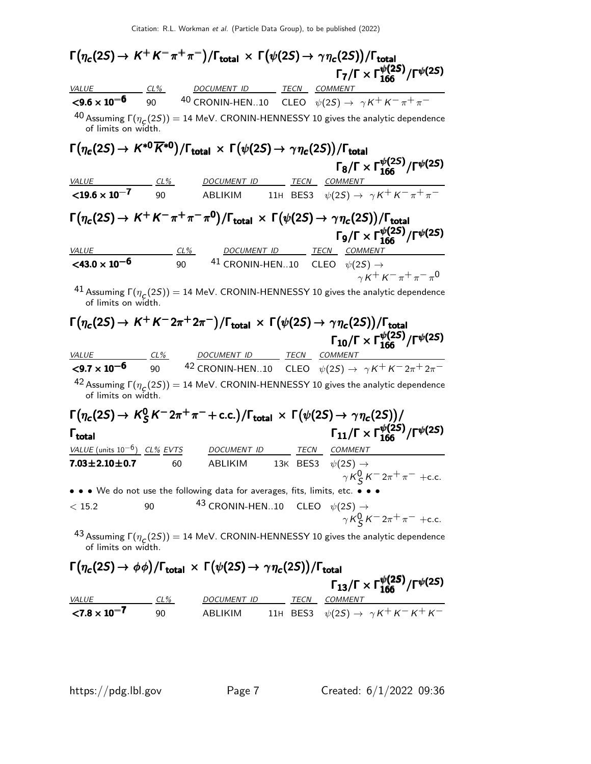|                                                                                                                                       |        |                                             |             | $\Gamma(\eta_c(2S) \to K^+K^-\pi^+\pi^-)/\Gamma_{\rm total} \, \times \, \Gamma(\psi(2S) \to \gamma\eta_c(2S))/\Gamma_{\rm total}$ |
|---------------------------------------------------------------------------------------------------------------------------------------|--------|---------------------------------------------|-------------|------------------------------------------------------------------------------------------------------------------------------------|
|                                                                                                                                       |        |                                             |             | $\Gamma_7/\Gamma \times \Gamma_{166}^{\psi(2S)}/\Gamma^{\psi(2S)}$                                                                 |
| VALUE CL% DOCUMENT ID TECN COMMENT                                                                                                    |        |                                             |             |                                                                                                                                    |
| $\leq 9.6 \times 10^{-6}$ 90                                                                                                          |        |                                             |             | <sup>40</sup> CRONIN-HEN10 CLEO $\psi(2S) \rightarrow \gamma K^+ K^- \pi^+ \pi^-$                                                  |
| of limits on width.                                                                                                                   |        |                                             |             | <sup>40</sup> Assuming $\Gamma(\eta_c(2S)) = 14$ MeV. CRONIN-HENNESSY 10 gives the analytic dependence                             |
| $\Gamma(\eta_c(2S) \to K^{*0} \overline{K}^{*0})/\Gamma_{\rm total} \times \Gamma(\psi(2S) \to \gamma \eta_c(2S))/\Gamma_{\rm total}$ |        |                                             |             |                                                                                                                                    |
|                                                                                                                                       |        |                                             |             | $\Gamma_8/\Gamma \times \Gamma_{166}^{\psi(2S)}/\Gamma^{\psi(2S)}$                                                                 |
| VALUE CL% DOCUMENT ID                                                                                                                 |        |                                             | <b>TECN</b> | COMMENT                                                                                                                            |
| ${<}19.6 \times 10^{-7}$                                                                                                              | 90     |                                             |             | ABLIKIM 11H BES3 $\psi(2S) \rightarrow \gamma K^+ K^- \pi^+ \pi^-$                                                                 |
|                                                                                                                                       |        |                                             |             |                                                                                                                                    |
|                                                                                                                                       |        |                                             |             | $\Gamma(\eta_c(2S) \to K^+K^-\pi^+\pi^-\pi^0)/\Gamma_{\rm total} \times \Gamma(\psi(2S) \to \gamma\eta_c(2S))/\Gamma_{\rm total}$  |
|                                                                                                                                       |        |                                             |             | $\Gamma_9/\Gamma \times \Gamma_{166}^{\psi(2S)}/\Gamma^{\psi(2S)}$                                                                 |
| <i>VALUE</i>                                                                                                                          | $CL\%$ |                                             | DOCUMENT ID | TECN COMMENT                                                                                                                       |
| $<$ 43.0 $\times$ 10 <sup>-6</sup>                                                                                                    | 90     |                                             |             | 41 CRONIN-HEN10 CLEO $\psi(2S) \rightarrow$                                                                                        |
|                                                                                                                                       |        |                                             |             | $\gamma K^+ K^- \pi^+ \pi^- \pi^0$                                                                                                 |
| of limits on width.                                                                                                                   |        |                                             |             | <sup>41</sup> Assuming $\Gamma(\eta_c(2S)) = 14$ MeV. CRONIN-HENNESSY 10 gives the analytic dependence                             |
|                                                                                                                                       |        |                                             |             | $\Gamma(\eta_c(2S) \to K^+K^-2\pi^+2\pi^-)/\Gamma_{\rm total} \,\times\, \Gamma(\psi(2S) \to \gamma\eta_c(2S))/\Gamma_{\rm total}$ |
|                                                                                                                                       |        |                                             |             | $\Gamma_{10}/\Gamma \times \Gamma_{166}^{\psi(25)}/\Gamma^{\psi(25)}$                                                              |
|                                                                                                                                       |        | <u>CL% DOCUMENT ID TECN COMMENT</u>         |             |                                                                                                                                    |
| <b>VALUE</b><br>$<$ 9.7 $\times$ 10 <sup>-6</sup>                                                                                     |        |                                             |             | 90 $42$ CRONIN-HEN10 CLEO $\psi(2S) \rightarrow \gamma K^+ K^- 2\pi^+ 2\pi^-$                                                      |
|                                                                                                                                       |        |                                             |             |                                                                                                                                    |
| of limits on width.                                                                                                                   |        |                                             |             | <sup>42</sup> Assuming $\Gamma(\eta_c(2S)) = 14$ MeV. CRONIN-HENNESSY 10 gives the analytic dependence                             |
|                                                                                                                                       |        |                                             |             | $\Gamma(\eta_c(2S) \to K_S^0 K^- 2\pi^+\pi^- + \text{c.c.})/\Gamma_{\text{total}} \times \Gamma(\psi(2S) \to \gamma\eta_c(2S))/$   |
| $\mathsf{\Gamma}_{\mathsf{total}}$                                                                                                    |        |                                             |             | $\Gamma_{11}/\Gamma \times \Gamma_{166}^{\psi(25)}/\Gamma^{\psi(25)}$                                                              |
|                                                                                                                                       |        |                                             |             |                                                                                                                                    |
| $VALUE$ (units $10^{-6}$ ) CL% EVTS DOCUMENT ID                                                                                       |        |                                             | TECN        | <i>COMMENT</i>                                                                                                                     |
| $7.03 \pm 2.10 \pm 0.7$                                                                                                               | 60     | ABLIKIM                                     | 13K BES3    | $\psi(2S) \rightarrow$<br>$\gamma K_S^0 K^- 2\pi^+ \pi^-$ +c.c.                                                                    |
| • • • We do not use the following data for averages, fits, limits, etc. • • •                                                         |        |                                             |             |                                                                                                                                    |
| < 15.2                                                                                                                                | 90     | 43 CRONIN-HEN10 CLEO $\psi(2S) \rightarrow$ |             |                                                                                                                                    |
|                                                                                                                                       |        |                                             |             | $\gamma K_S^0 K^- 2\pi^+ \pi^-$ +c.c.                                                                                              |
| of limits on width.                                                                                                                   |        |                                             |             | <sup>43</sup> Assuming $\Gamma(\eta_c(2S)) = 14$ MeV. CRONIN-HENNESSY 10 gives the analytic dependence                             |
| $\Gamma(\eta_c(2S) \to \phi\phi)/\Gamma_{\text{total}} \times \Gamma(\psi(2S) \to \gamma\eta_c(2S))/\Gamma_{\text{total}}$            |        |                                             |             |                                                                                                                                    |
|                                                                                                                                       |        |                                             |             |                                                                                                                                    |
|                                                                                                                                       |        |                                             |             | $\Gamma_{13}/\Gamma \times \Gamma_{166}^{\psi(2S)}/\Gamma^{\psi(2S)}$                                                              |

|                                      |        |                    |  | $13/1 \times 1166$ /l <sup>+\---</sup> /               |
|--------------------------------------|--------|--------------------|--|--------------------------------------------------------|
| <i>VALUE</i>                         | $CL\%$ | <i>DOCUMENT ID</i> |  | TECN COMMENT                                           |
| $\langle 7.8 \times 10^{-7} \rangle$ | 90     | ABI IKIM           |  | 11H BES3 $\psi(2S) \rightarrow \gamma K^+ K^- K^+ K^-$ |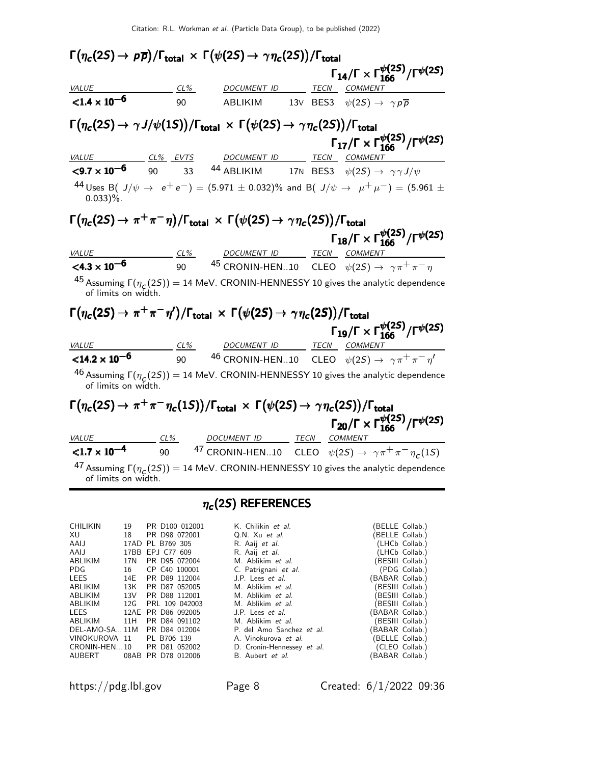|                                   | $\Gamma(\eta_c(2S) \to \rho \overline{\rho})/\Gamma_{\rm total} \times \Gamma(\psi(2S) \to \gamma \eta_c(2S))/\Gamma_{\rm total}$    |  |                                                                                                                                |  |
|-----------------------------------|--------------------------------------------------------------------------------------------------------------------------------------|--|--------------------------------------------------------------------------------------------------------------------------------|--|
|                                   |                                                                                                                                      |  | $\Gamma_{14}/\Gamma \times \Gamma_{166}^{\psi(25)}/\Gamma^{\psi(25)}$                                                          |  |
| <b>VALUE</b>                      | <u>CL% DOCUMENT ID TECN COMMENT</u>                                                                                                  |  |                                                                                                                                |  |
| ${<}1.4 \times 10^{-6}$           | 90 ABLIKIM                                                                                                                           |  | 13V BES3 $\psi(2S) \rightarrow \gamma p \overline{p}$                                                                          |  |
|                                   | $\Gamma(\eta_c(2S) \to \gamma J/\psi(1S))/\Gamma_{\text{total}} \times \Gamma(\psi(2S) \to \gamma \eta_c(2S))/\Gamma_{\text{total}}$ |  |                                                                                                                                |  |
|                                   |                                                                                                                                      |  | $\Gamma_{17}/\Gamma \times \Gamma_{166}^{\psi(2S)}/\Gamma^{\psi(2S)}$                                                          |  |
|                                   | VALUE CL <sup>%</sup> EVTS DOCUMENT ID TECN COMMENT                                                                                  |  |                                                                                                                                |  |
|                                   |                                                                                                                                      |  | <b>&lt;9.7 x 10<sup>-6</sup></b> 90 33 <sup>44</sup> ABLIKIM 17N BES3 $\psi(2S) \to \gamma \gamma J/\psi$                      |  |
| $0.033$ %.                        |                                                                                                                                      |  | 44 Uses B( $J/\psi \to e^+e^-$ ) = (5.971 $\pm$ 0.032)% and B( $J/\psi \to \mu^+\mu^-)$ = (5.961 $\pm$                         |  |
|                                   | $\Gamma(\eta_c(2S) \to \pi^+\pi^-\eta)/\Gamma_{\rm total} \times \Gamma(\psi(2S) \to \gamma\eta_c(2S))/\Gamma_{\rm total}$           |  |                                                                                                                                |  |
|                                   |                                                                                                                                      |  | $\Gamma_{18}/\Gamma\times\Gamma_{166}^{\psi(2S)}/\Gamma^{\psi(2S)}$                                                            |  |
| <b>VALUE</b>                      |                                                                                                                                      |  | $\frac{CL\%}{90}$ $\frac{DOCUMENT ID}{45}$ $\frac{TECN}{CEO}$ $\frac{COMMENT}{\psi(2S)}$ $\rightarrow \gamma \pi^+ \pi^- \eta$ |  |
| $<$ 4.3 $\times$ 10 <sup>-6</sup> |                                                                                                                                      |  |                                                                                                                                |  |
| of limits on width.               |                                                                                                                                      |  | <sup>45</sup> Assuming $\Gamma(\eta_c(2S)) = 14$ MeV. CRONIN-HENNESSY 10 gives the analytic dependence                         |  |
|                                   | $\Gamma(\eta_c(2S) \to \pi^+\pi^-\eta')/\Gamma_{\rm total} \times \Gamma(\psi(2S) \to \gamma\eta_c(2S))/\Gamma_{\rm total}$          |  |                                                                                                                                |  |
|                                   |                                                                                                                                      |  | $\Gamma_{19}/\Gamma \times \Gamma_{166}^{\psi(2S)}/\Gamma^{\psi(2S)}$                                                          |  |
| <b>VALUE</b>                      |                                                                                                                                      |  | <u>CL% DOCUMENT ID TECN COMMENT</u><br>90 46 CRONIN-HEN10 CLEO $\psi(2S) \rightarrow \gamma \pi^+ \pi^- \eta'$                 |  |
| ${<}14.2 \times 10^{-6}$          |                                                                                                                                      |  |                                                                                                                                |  |
| of limits on width.               |                                                                                                                                      |  | <sup>46</sup> Assuming $\Gamma(\eta_c(2S)) = 14$ MeV. CRONIN-HENNESSY 10 gives the analytic dependence                         |  |
|                                   | $\Gamma(\eta_c(2S) \to \pi^+ \pi^- \eta_c(1S))/\Gamma_{\rm total} \times \Gamma(\psi(2S) \to \gamma \eta_c(2S))/\Gamma_{\rm total}$  |  |                                                                                                                                |  |
|                                   |                                                                                                                                      |  | $\Gamma_{20}/\Gamma \times \Gamma_{166}^{\psi(2S)}/\Gamma^{\psi(2S)}$                                                          |  |
| VALUE                             | <u>CL% DOCUMENT ID TECN COMMENT</u>                                                                                                  |  |                                                                                                                                |  |
| $< 1.7 \times 10^{-4}$            |                                                                                                                                      |  | 90 $47$ CRONIN-HEN10 CLEO $\psi(2S) \rightarrow \gamma \pi^+ \pi^- \eta_c(1S)$                                                 |  |
| of limits on width.               |                                                                                                                                      |  | <sup>47</sup> Assuming $\Gamma(\eta_c(2S)) = 14$ MeV. CRONIN-HENNESSY 10 gives the analytic dependence                         |  |
|                                   |                                                                                                                                      |  |                                                                                                                                |  |

### $\eta_c$ (2S) REFERENCES

| <b>CHILIKIN</b> | 19  | PR D100 012001              | K. Chilikin et al.         |                 | (BELLE Collab.)  |
|-----------------|-----|-----------------------------|----------------------------|-----------------|------------------|
| XU —            | 18  | PR D98 072001               | Q.N. Xu et al.             |                 | (BELLE Collab.)  |
| AAIJ            |     | 17AD PL B769 305            | R. Aaij et al.             |                 | (LHCb Collab.)   |
| AAIJ            |     | 17BB EPJ C77 609            | R. Aaij et al.             |                 | (LHCb Collab.)   |
| ABLIKIM         | 17N | PR D95 072004               | M. Ablikim et al.          |                 | (BESIII Collab.) |
| PDG.            | 16  | CP C40 100001               | C. Patrignani et al.       |                 | (PDG Collab.)    |
| LEES            | 14E | PR D89 112004               | J.P. Lees et al.           | BABAR Collab.)  |                  |
| ABLIKIM         | 13K | PR D87 052005               | M. Ablikim et al.          |                 | (BESIII Collab.) |
| ABLIKIM         | 13V | PR D88 112001               | M. Ablikim et al.          |                 | (BESIII Collab.) |
| ABLIKIM         | 12G | PRL 109 042003              | M. Ablikim et al.          |                 | (BESIII Collab.) |
| LEES            |     | 12AE PR D86 092005          | J.P. Lees <i>et al.</i>    | (BABAR Collab.) |                  |
| ABLIKIM         | 11H | PR D84 091102               | M. Ablikim et al.          |                 | (BESIII Collab.) |
| DEL-AMO-SA 11M  |     | PR D84 012004               | P. del Amo Sanchez et al.  | (BABAR Collab.) |                  |
| VINOKUROVA 11   |     | PL B706 139                 | A. Vinokurova et al.       |                 | (BELLE Collab.)  |
|                 |     | CRONIN-HEN 10 PR D81 052002 | D. Cronin-Hennessey et al. |                 | (CLEO Collab.)   |
| AUBERT          |     | 08AB PR D78 012006          | B. Aubert et al.           | (BABAR Collab.) |                  |

https://pdg.lbl.gov Page 8 Created: 6/1/2022 09:36